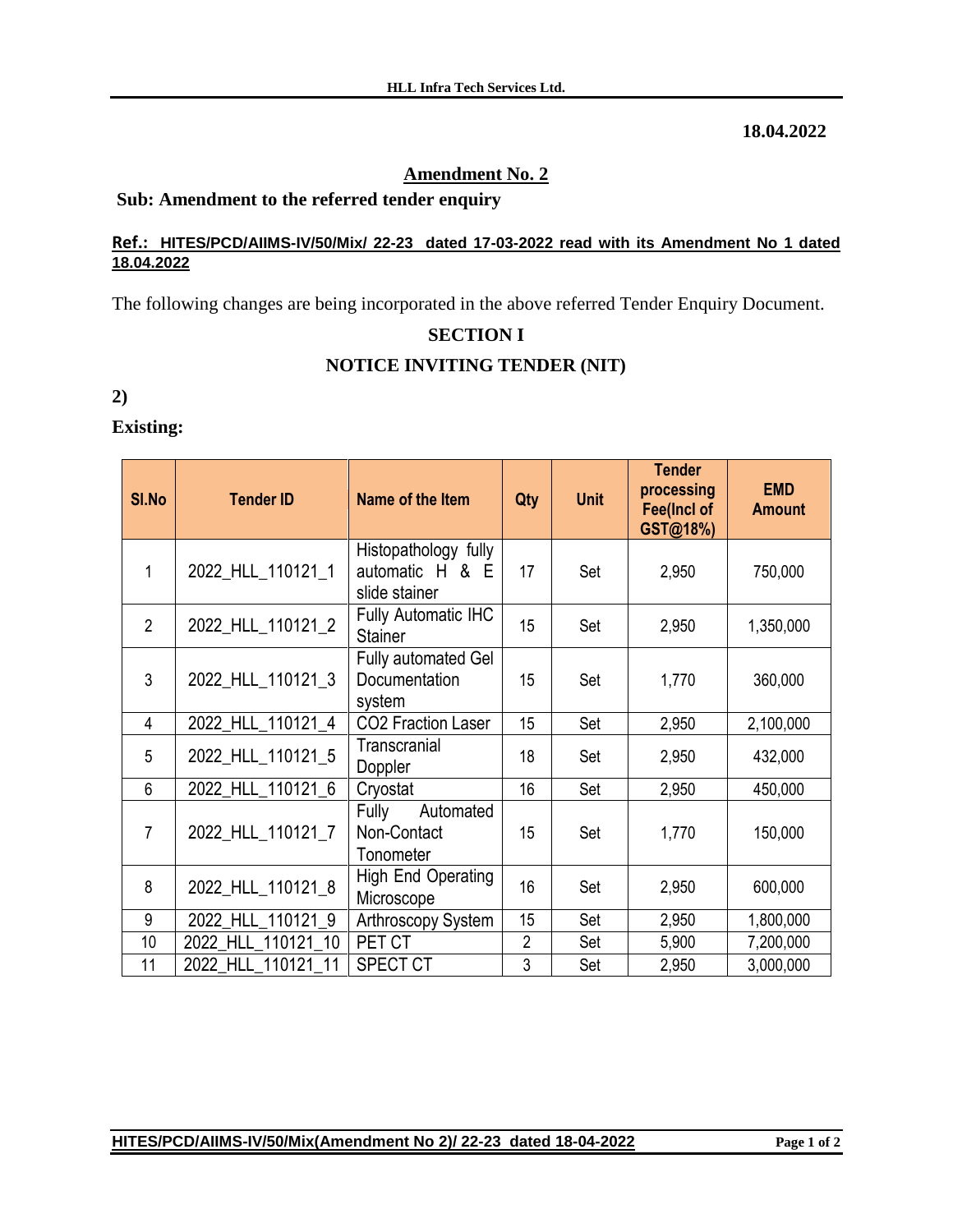### **18.04.2022**

# **Amendment No. 2**

# **Sub: Amendment to the referred tender enquiry**

#### **Ref.: HITES/PCD/AIIMS-IV/50/Mix/ 22-23 dated 17-03-2022 read with its Amendment No 1 dated 18.04.2022**

The following changes are being incorporated in the above referred Tender Enquiry Document.

# **SECTION I**

## **NOTICE INVITING TENDER (NIT)**

**2)**

# **Existing:**

| SI.No          | <b>Tender ID</b>   | Name of the Item                                         | Qty            | <b>Unit</b> | <b>Tender</b><br>processing<br><b>Fee(Incl of</b><br>GST@18%) | <b>EMD</b><br><b>Amount</b> |
|----------------|--------------------|----------------------------------------------------------|----------------|-------------|---------------------------------------------------------------|-----------------------------|
| 1              | 2022_HLL_110121_1  | Histopathology fully<br>automatic H & E<br>slide stainer | 17             | Set         | 2,950                                                         | 750,000                     |
| $\overline{2}$ | 2022_HLL_110121_2  | <b>Fully Automatic IHC</b><br><b>Stainer</b>             | 15             | Set         | 2,950                                                         | 1,350,000                   |
| 3              | 2022_HLL_110121_3  | <b>Fully automated Gel</b><br>Documentation<br>system    | 15             | Set         | 1,770                                                         | 360,000                     |
| 4              | 2022_HLL_110121_4  | CO2 Fraction Laser                                       | 15             | Set         | 2,950                                                         | 2,100,000                   |
| 5              | 2022_HLL_110121_5  | Transcranial<br>Doppler                                  | 18             | Set         | 2,950                                                         | 432,000                     |
| 6              | 2022_HLL_110121_6  | Cryostat                                                 | 16             | Set         | 2,950                                                         | 450,000                     |
| $\overline{7}$ | 2022_HLL_110121_7  | Fully<br>Automated<br>Non-Contact<br>Tonometer           | 15             | Set         | 1,770                                                         | 150,000                     |
| 8              | 2022_HLL_110121_8  | High End Operating<br>Microscope                         | 16             | Set         | 2,950                                                         | 600,000                     |
| 9              | 2022 HLL 110121 9  | Arthroscopy System                                       | 15             | Set         | 2,950                                                         | 1,800,000                   |
| 10             | 2022 HLL 110121 10 | PET CT                                                   | $\overline{2}$ | Set         | 5,900                                                         | 7,200,000                   |
| 11             | 2022 HLL 110121 11 | <b>SPECT CT</b>                                          | 3              | Set         | 2,950                                                         | 3,000,000                   |

## **HITES/PCD/AIIMS-IV/50/Mix(Amendment No 2)/ 22-23 dated 18-04-2022 Page 1 of 2**